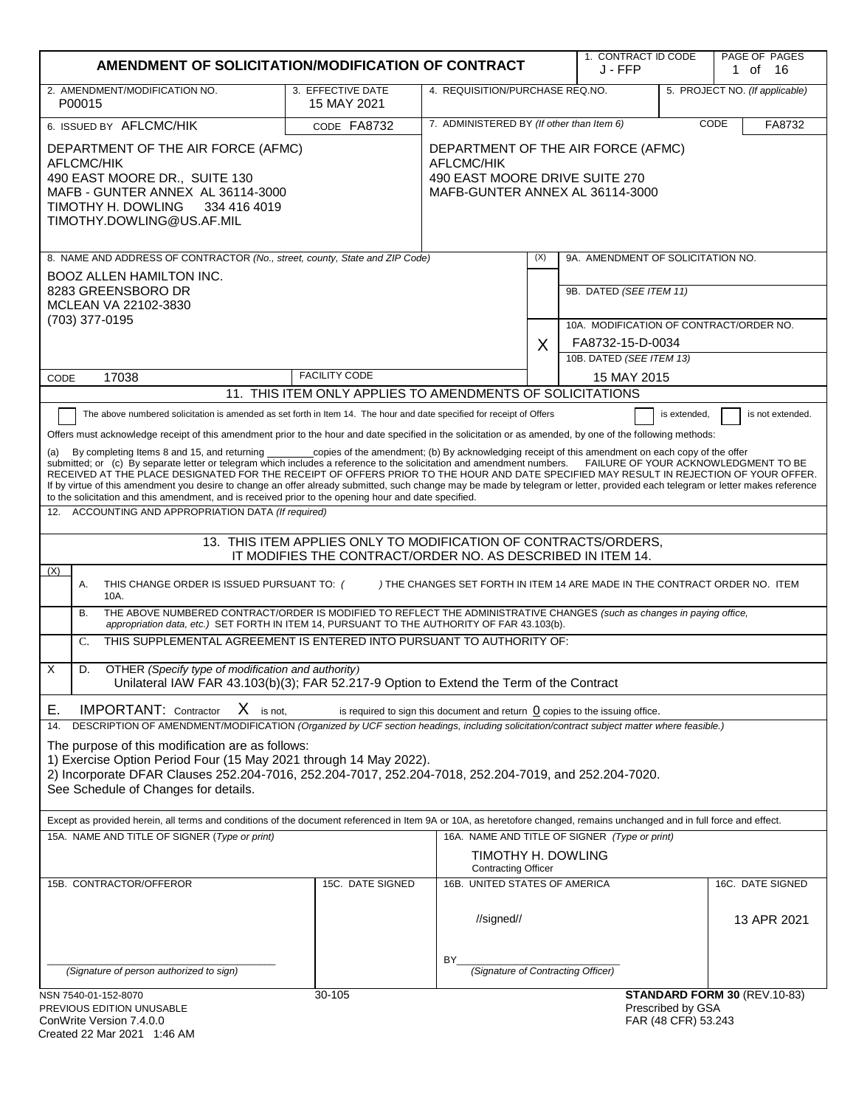|                                                                                                                                                                                                                                                                                                                                                                                                                                                                                                                                                                                                                                                                                                                                                                                                                                                                                                                                                                                                                                                                                                                                                                                                                                                                                                                                                                                                                                                                                                                                                                                                                                                                                                                                                                                                                                                                                                                                                                                                                                                                                                                                                                                                                                                                                                                                                                                                                                                                                                                     | AMENDMENT OF SOLICITATION/MODIFICATION OF CONTRACT |                                                                                                                       |     | 1. CONTRACT ID CODE<br>J - FFP                                     |                                           | PAGE OF PAGES<br>1 of 16        |
|---------------------------------------------------------------------------------------------------------------------------------------------------------------------------------------------------------------------------------------------------------------------------------------------------------------------------------------------------------------------------------------------------------------------------------------------------------------------------------------------------------------------------------------------------------------------------------------------------------------------------------------------------------------------------------------------------------------------------------------------------------------------------------------------------------------------------------------------------------------------------------------------------------------------------------------------------------------------------------------------------------------------------------------------------------------------------------------------------------------------------------------------------------------------------------------------------------------------------------------------------------------------------------------------------------------------------------------------------------------------------------------------------------------------------------------------------------------------------------------------------------------------------------------------------------------------------------------------------------------------------------------------------------------------------------------------------------------------------------------------------------------------------------------------------------------------------------------------------------------------------------------------------------------------------------------------------------------------------------------------------------------------------------------------------------------------------------------------------------------------------------------------------------------------------------------------------------------------------------------------------------------------------------------------------------------------------------------------------------------------------------------------------------------------------------------------------------------------------------------------------------------------|----------------------------------------------------|-----------------------------------------------------------------------------------------------------------------------|-----|--------------------------------------------------------------------|-------------------------------------------|---------------------------------|
| 2. AMENDMENT/MODIFICATION NO.<br>P00015                                                                                                                                                                                                                                                                                                                                                                                                                                                                                                                                                                                                                                                                                                                                                                                                                                                                                                                                                                                                                                                                                                                                                                                                                                                                                                                                                                                                                                                                                                                                                                                                                                                                                                                                                                                                                                                                                                                                                                                                                                                                                                                                                                                                                                                                                                                                                                                                                                                                             | 3. EFFECTIVE DATE<br>15 MAY 2021                   | 4. REQUISITION/PURCHASE REQ.NO.                                                                                       |     |                                                                    |                                           | 5. PROJECT NO. (If applicable)  |
| 6. ISSUED BY AFLCMC/HIK                                                                                                                                                                                                                                                                                                                                                                                                                                                                                                                                                                                                                                                                                                                                                                                                                                                                                                                                                                                                                                                                                                                                                                                                                                                                                                                                                                                                                                                                                                                                                                                                                                                                                                                                                                                                                                                                                                                                                                                                                                                                                                                                                                                                                                                                                                                                                                                                                                                                                             | CODE FA8732                                        | 7. ADMINISTERED BY (If other than Item 6)                                                                             |     |                                                                    |                                           | CODE<br>FA8732                  |
| DEPARTMENT OF THE AIR FORCE (AFMC)<br>AFLCMC/HIK<br>490 EAST MOORE DR., SUITE 130<br>MAFB - GUNTER ANNEX AL 36114-3000<br>TIMOTHY H. DOWLING<br>334 416 4019<br>TIMOTHY.DOWLING@US.AF.MIL                                                                                                                                                                                                                                                                                                                                                                                                                                                                                                                                                                                                                                                                                                                                                                                                                                                                                                                                                                                                                                                                                                                                                                                                                                                                                                                                                                                                                                                                                                                                                                                                                                                                                                                                                                                                                                                                                                                                                                                                                                                                                                                                                                                                                                                                                                                           |                                                    | DEPARTMENT OF THE AIR FORCE (AFMC)<br>AFLCMC/HIK<br>490 EAST MOORE DRIVE SUITE 270<br>MAFB-GUNTER ANNEX AL 36114-3000 |     |                                                                    |                                           |                                 |
| 8. NAME AND ADDRESS OF CONTRACTOR (No., street, county, State and ZIP Code)                                                                                                                                                                                                                                                                                                                                                                                                                                                                                                                                                                                                                                                                                                                                                                                                                                                                                                                                                                                                                                                                                                                                                                                                                                                                                                                                                                                                                                                                                                                                                                                                                                                                                                                                                                                                                                                                                                                                                                                                                                                                                                                                                                                                                                                                                                                                                                                                                                         |                                                    |                                                                                                                       | (X) | 9A. AMENDMENT OF SOLICITATION NO.                                  |                                           |                                 |
| BOOZ ALLEN HAMILTON INC.<br>8283 GREENSBORO DR<br>MCLEAN VA 22102-3830<br>(703) 377-0195                                                                                                                                                                                                                                                                                                                                                                                                                                                                                                                                                                                                                                                                                                                                                                                                                                                                                                                                                                                                                                                                                                                                                                                                                                                                                                                                                                                                                                                                                                                                                                                                                                                                                                                                                                                                                                                                                                                                                                                                                                                                                                                                                                                                                                                                                                                                                                                                                            |                                                    |                                                                                                                       |     | 9B. DATED (SEE ITEM 11)<br>10A. MODIFICATION OF CONTRACT/ORDER NO. |                                           |                                 |
|                                                                                                                                                                                                                                                                                                                                                                                                                                                                                                                                                                                                                                                                                                                                                                                                                                                                                                                                                                                                                                                                                                                                                                                                                                                                                                                                                                                                                                                                                                                                                                                                                                                                                                                                                                                                                                                                                                                                                                                                                                                                                                                                                                                                                                                                                                                                                                                                                                                                                                                     |                                                    |                                                                                                                       | X   | FA8732-15-D-0034                                                   |                                           |                                 |
|                                                                                                                                                                                                                                                                                                                                                                                                                                                                                                                                                                                                                                                                                                                                                                                                                                                                                                                                                                                                                                                                                                                                                                                                                                                                                                                                                                                                                                                                                                                                                                                                                                                                                                                                                                                                                                                                                                                                                                                                                                                                                                                                                                                                                                                                                                                                                                                                                                                                                                                     |                                                    |                                                                                                                       |     | 10B. DATED (SEE ITEM 13)                                           |                                           |                                 |
| 17038<br>CODE                                                                                                                                                                                                                                                                                                                                                                                                                                                                                                                                                                                                                                                                                                                                                                                                                                                                                                                                                                                                                                                                                                                                                                                                                                                                                                                                                                                                                                                                                                                                                                                                                                                                                                                                                                                                                                                                                                                                                                                                                                                                                                                                                                                                                                                                                                                                                                                                                                                                                                       | <b>FACILITY CODE</b>                               |                                                                                                                       |     | 15 MAY 2015                                                        |                                           |                                 |
| 11. THIS ITEM ONLY APPLIES TO AMENDMENTS OF SOLICITATIONS<br>The above numbered solicitation is amended as set forth in Item 14. The hour and date specified for receipt of Offers<br>is extended,<br>is not extended.<br>Offers must acknowledge receipt of this amendment prior to the hour and date specified in the solicitation or as amended, by one of the following methods:<br>_copies of the amendment; (b) By acknowledging receipt of this amendment on each copy of the offer<br>By completing Items 8 and 15, and returning<br>submitted; or (c) By separate letter or telegram which includes a reference to the solicitation and amendment numbers. FAILURE OF YOUR ACKNOWLEDGMENT TO BE<br>RECEIVED AT THE PLACE DESIGNATED FOR THE RECEIPT OF OFFERS PRIOR TO THE HOUR AND DATE SPECIFIED MAY RESULT IN REJECTION OF YOUR OFFER.<br>If by virtue of this amendment you desire to change an offer already submitted, such change may be made by telegram or letter, provided each telegram or letter makes reference<br>to the solicitation and this amendment, and is received prior to the opening hour and date specified.<br>12. ACCOUNTING AND APPROPRIATION DATA (If required)<br>13. THIS ITEM APPLIES ONLY TO MODIFICATION OF CONTRACTS/ORDERS,<br>IT MODIFIES THE CONTRACT/ORDER NO. AS DESCRIBED IN ITEM 14.<br>(X)<br>Α.<br>THIS CHANGE ORDER IS ISSUED PURSUANT TO: (<br>) THE CHANGES SET FORTH IN ITEM 14 ARE MADE IN THE CONTRACT ORDER NO. ITEM<br>10A.<br>THE ABOVE NUMBERED CONTRACT/ORDER IS MODIFIED TO REFLECT THE ADMINISTRATIVE CHANGES (such as changes in paying office,<br><b>B.</b><br>appropriation data, etc.) SET FORTH IN ITEM 14, PURSUANT TO THE AUTHORITY OF FAR 43.103(b).<br>THIS SUPPLEMENTAL AGREEMENT IS ENTERED INTO PURSUANT TO AUTHORITY OF:<br>$C_{\cdot}$<br>X<br>D.<br>OTHER (Specify type of modification and authority)<br>Unilateral IAW FAR 43.103(b)(3); FAR 52.217-9 Option to Extend the Term of the Contract<br>$X$ is not.<br>Е.<br><b>IMPORTANT:</b> Contractor<br>is required to sign this document and return $\,0\,$ copies to the issuing office.<br>DESCRIPTION OF AMENDMENT/MODIFICATION (Organized by UCF section headings, including solicitation/contract subject matter where feasible.)<br>14.<br>The purpose of this modification are as follows:<br>1) Exercise Option Period Four (15 May 2021 through 14 May 2022).<br>2) Incorporate DFAR Clauses 252.204-7016, 252.204-7017, 252.204-7018, 252.204-7019, and 252.204-7020. |                                                    |                                                                                                                       |     |                                                                    |                                           |                                 |
|                                                                                                                                                                                                                                                                                                                                                                                                                                                                                                                                                                                                                                                                                                                                                                                                                                                                                                                                                                                                                                                                                                                                                                                                                                                                                                                                                                                                                                                                                                                                                                                                                                                                                                                                                                                                                                                                                                                                                                                                                                                                                                                                                                                                                                                                                                                                                                                                                                                                                                                     |                                                    |                                                                                                                       |     |                                                                    |                                           |                                 |
| Except as provided herein, all terms and conditions of the document referenced in Item 9A or 10A, as heretofore changed, remains unchanged and in full force and effect.<br>15A. NAME AND TITLE OF SIGNER (Type or print)<br>16A. NAME AND TITLE OF SIGNER (Type or print)<br>TIMOTHY H. DOWLING<br><b>Contracting Officer</b>                                                                                                                                                                                                                                                                                                                                                                                                                                                                                                                                                                                                                                                                                                                                                                                                                                                                                                                                                                                                                                                                                                                                                                                                                                                                                                                                                                                                                                                                                                                                                                                                                                                                                                                                                                                                                                                                                                                                                                                                                                                                                                                                                                                      |                                                    |                                                                                                                       |     |                                                                    |                                           |                                 |
| 15B. CONTRACTOR/OFFEROR                                                                                                                                                                                                                                                                                                                                                                                                                                                                                                                                                                                                                                                                                                                                                                                                                                                                                                                                                                                                                                                                                                                                                                                                                                                                                                                                                                                                                                                                                                                                                                                                                                                                                                                                                                                                                                                                                                                                                                                                                                                                                                                                                                                                                                                                                                                                                                                                                                                                                             | 15C. DATE SIGNED                                   | 16B. UNITED STATES OF AMERICA<br>//signed//                                                                           |     |                                                                    |                                           | 16C. DATE SIGNED<br>13 APR 2021 |
| (Signature of person authorized to sign)                                                                                                                                                                                                                                                                                                                                                                                                                                                                                                                                                                                                                                                                                                                                                                                                                                                                                                                                                                                                                                                                                                                                                                                                                                                                                                                                                                                                                                                                                                                                                                                                                                                                                                                                                                                                                                                                                                                                                                                                                                                                                                                                                                                                                                                                                                                                                                                                                                                                            |                                                    | BY<br>(Signature of Contracting Officer)                                                                              |     |                                                                    |                                           |                                 |
| NSN 7540-01-152-8070                                                                                                                                                                                                                                                                                                                                                                                                                                                                                                                                                                                                                                                                                                                                                                                                                                                                                                                                                                                                                                                                                                                                                                                                                                                                                                                                                                                                                                                                                                                                                                                                                                                                                                                                                                                                                                                                                                                                                                                                                                                                                                                                                                                                                                                                                                                                                                                                                                                                                                | 30-105                                             |                                                                                                                       |     |                                                                    |                                           | STANDARD FORM 30 (REV.10-83)    |
| PREVIOUS EDITION UNUSABLE<br>ConWrite Version 7 4 0 0                                                                                                                                                                                                                                                                                                                                                                                                                                                                                                                                                                                                                                                                                                                                                                                                                                                                                                                                                                                                                                                                                                                                                                                                                                                                                                                                                                                                                                                                                                                                                                                                                                                                                                                                                                                                                                                                                                                                                                                                                                                                                                                                                                                                                                                                                                                                                                                                                                                               |                                                    |                                                                                                                       |     |                                                                    | Prescribed by GSA<br>$FAR$ (ARCER) 53.243 |                                 |

| ConWrite Version 7.4.0.0    |  |
|-----------------------------|--|
| Created 22 Mar 2021 1:46 AM |  |

FAR (48 CFR) 53.243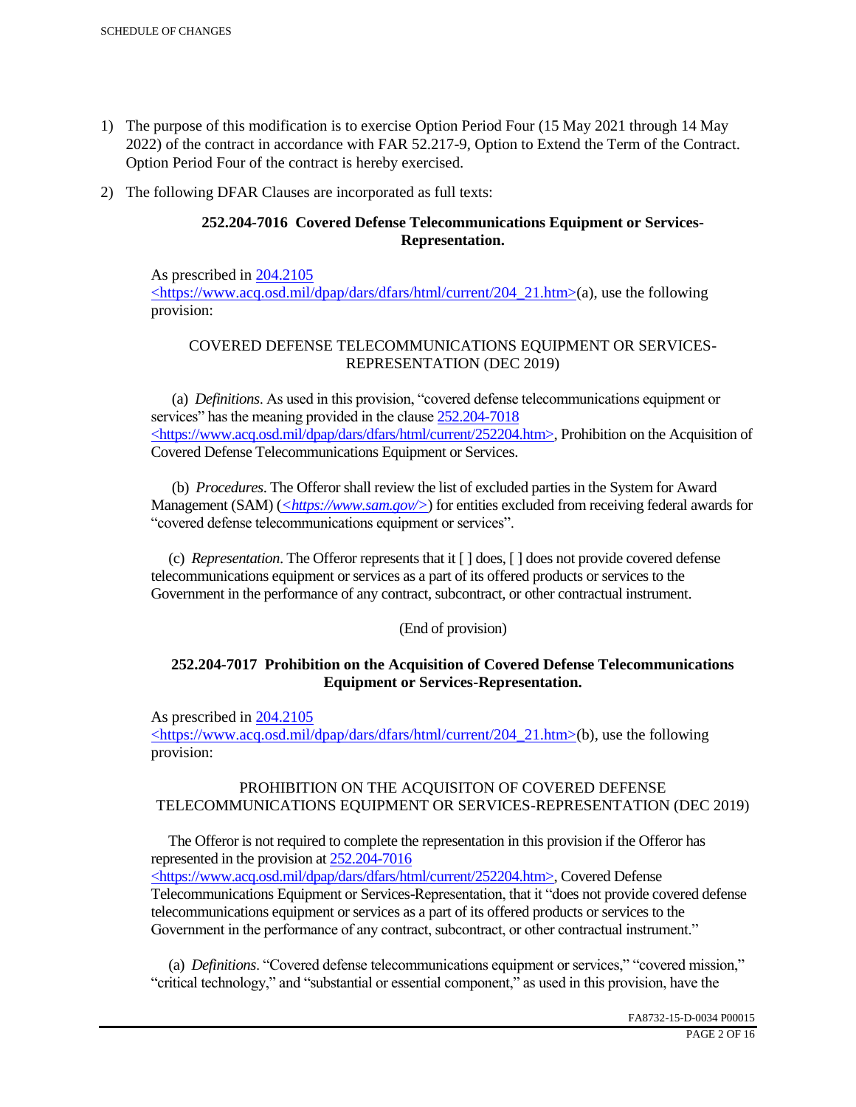- 1) The purpose of this modification is to exercise Option Period Four (15 May 2021 through 14 May 2022) of the contract in accordance with FAR 52.217-9, Option to Extend the Term of the Contract. Option Period Four of the contract is hereby exercised.
- 2) The following DFAR Clauses are incorporated as full texts:

## **252.204-7016 Covered Defense Telecommunications Equipment or Services-Representation.**

As prescribed in 204.2105 <https://www.acq.osd.mil/dpap/dars/dfars/html/current/204\_21.htm>(a), use the following provision:

# COVERED DEFENSE TELECOMMUNICATIONS EQUIPMENT OR SERVICES-REPRESENTATION (DEC 2019)

 (a) *Definitions*. As used in this provision, "covered defense telecommunications equipment or services" has the meaning provided in the clause  $252.204 - 7018$ <https://www.acq.osd.mil/dpap/dars/dfars/html/current/252204.htm>, Prohibition on the Acquisition of Covered Defense Telecommunications Equipment or Services.

 (b) *Procedures*. The Offeror shall review the list of excluded parties in the System for Award Management (SAM) (*<https://www.sam.gov/>*) for entities excluded from receiving federal awards for "covered defense telecommunications equipment or services".

 (c) *Representation*. The Offeror represents that it [ ] does, [ ] does not provide covered defense telecommunications equipment or services as a part of its offered products or services to the Government in the performance of any contract, subcontract, or other contractual instrument.

## (End of provision)

## **252.204-7017 Prohibition on the Acquisition of Covered Defense Telecommunications Equipment or Services-Representation.**

As prescribed in 204.2105

<https://www.acq.osd.mil/dpap/dars/dfars/html/current/204\_21.htm>(b), use the following provision:

## PROHIBITION ON THE ACQUISITON OF COVERED DEFENSE TELECOMMUNICATIONS EQUIPMENT OR SERVICES-REPRESENTATION (DEC 2019)

 The Offeror is not required to complete the representation in this provision if the Offeror has represented in the provision at 252.204-7016

<https://www.acq.osd.mil/dpap/dars/dfars/html/current/252204.htm>, Covered Defense Telecommunications Equipment or Services-Representation, that it "does not provide covered defense telecommunications equipment or services as a part of its offered products or services to the Government in the performance of any contract, subcontract, or other contractual instrument."

 (a) *Definitions*. "Covered defense telecommunications equipment or services," "covered mission," "critical technology," and "substantial or essential component," as used in this provision, have the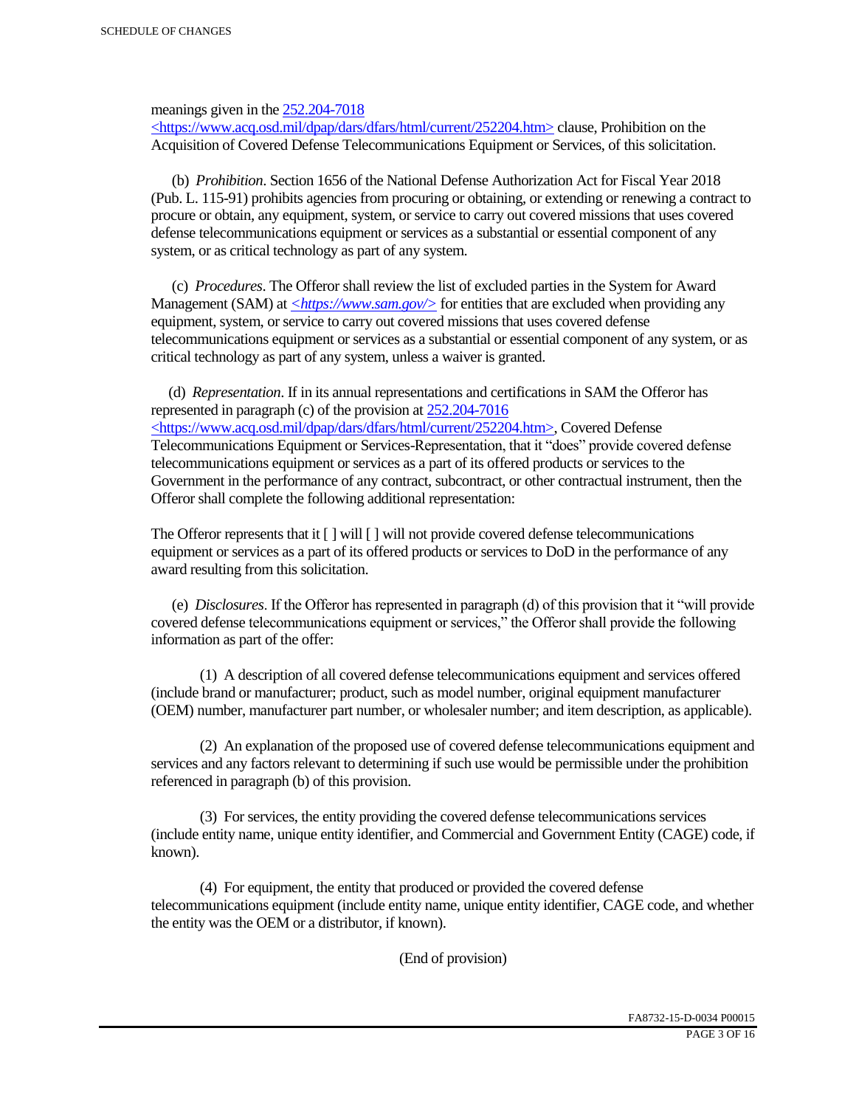meanings given in the 252.204-7018

 $\langle$ https://www.acq.osd.mil/dpap/dars/dfars/html/current/252204.htm> clause, Prohibition on the Acquisition of Covered Defense Telecommunications Equipment or Services, of this solicitation.

 (b) *Prohibition*. Section 1656 of the National Defense Authorization Act for Fiscal Year 2018 (Pub. L. 115-91) prohibits agencies from procuring or obtaining, or extending or renewing a contract to procure or obtain, any equipment, system, or service to carry out covered missions that uses covered defense telecommunications equipment or services as a substantial or essential component of any system, or as critical technology as part of any system.

 (c) *Procedures*. The Offeror shall review the list of excluded parties in the System for Award Management (SAM) at  $\leq$ https://www.sam.gov/> for entities that are excluded when providing any equipment, system, or service to carry out covered missions that uses covered defense telecommunications equipment or services as a substantial or essential component of any system, or as critical technology as part of any system, unless a waiver is granted.

 (d) *Representation*. If in its annual representations and certifications in SAM the Offeror has represented in paragraph (c) of the provision at 252.204-7016 <https://www.acq.osd.mil/dpap/dars/dfars/html/current/252204.htm>, Covered Defense Telecommunications Equipment or Services-Representation, that it "does" provide covered defense telecommunications equipment or services as a part of its offered products or services to the Government in the performance of any contract, subcontract, or other contractual instrument, then the Offeror shall complete the following additional representation:

The Offeror represents that it  $\lceil \cdot \rceil$  will  $\lceil \cdot \rceil$  will not provide covered defense telecommunications equipment or services as a part of its offered products or services to DoD in the performance of any award resulting from this solicitation.

 (e) *Disclosures*. If the Offeror has represented in paragraph (d) of this provision that it "will provide covered defense telecommunications equipment or services," the Offeror shall provide the following information as part of the offer:

 (1) A description of all covered defense telecommunications equipment and services offered (include brand or manufacturer; product, such as model number, original equipment manufacturer (OEM) number, manufacturer part number, or wholesaler number; and item description, as applicable).

 (2) An explanation of the proposed use of covered defense telecommunications equipment and services and any factors relevant to determining if such use would be permissible under the prohibition referenced in paragraph (b) of this provision.

 (3) For services, the entity providing the covered defense telecommunications services (include entity name, unique entity identifier, and Commercial and Government Entity (CAGE) code, if known).

 (4) For equipment, the entity that produced or provided the covered defense telecommunications equipment (include entity name, unique entity identifier, CAGE code, and whether the entity was the OEM or a distributor, if known).

(End of provision)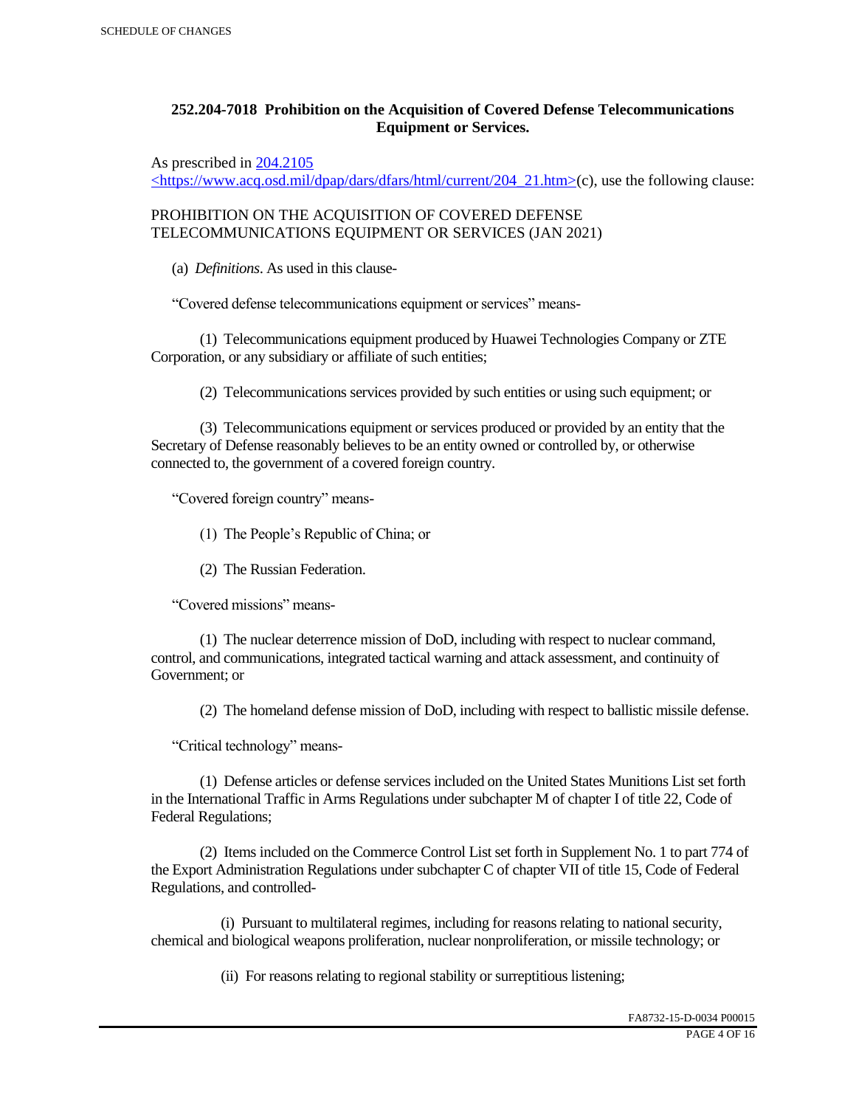## **252.204-7018 Prohibition on the Acquisition of Covered Defense Telecommunications Equipment or Services.**

As prescribed in 204.2105

 $\langle$ https://www.acq.osd.mil/dpap/dars/dfars/html/current/204\_21.htm>(c), use the following clause:

PROHIBITION ON THE ACQUISITION OF COVERED DEFENSE TELECOMMUNICATIONS EQUIPMENT OR SERVICES (JAN 2021)

(a) *Definitions*. As used in this clause-

"Covered defense telecommunications equipment or services" means-

 (1) Telecommunications equipment produced by Huawei Technologies Company or ZTE Corporation, or any subsidiary or affiliate of such entities;

(2) Telecommunications services provided by such entities or using such equipment; or

 (3) Telecommunications equipment or services produced or provided by an entity that the Secretary of Defense reasonably believes to be an entity owned or controlled by, or otherwise connected to, the government of a covered foreign country.

"Covered foreign country" means-

(1) The People's Republic of China; or

(2) The Russian Federation.

"Covered missions" means-

 (1) The nuclear deterrence mission of DoD, including with respect to nuclear command, control, and communications, integrated tactical warning and attack assessment, and continuity of Government; or

(2) The homeland defense mission of DoD, including with respect to ballistic missile defense.

"Critical technology" means-

 (1) Defense articles or defense services included on the United States Munitions List set forth in the International Traffic in Arms Regulations under subchapter M of chapter I of title 22, Code of Federal Regulations;

 (2) Items included on the Commerce Control List set forth in Supplement No. 1 to part 774 of the Export Administration Regulations under subchapter C of chapter VII of title 15, Code of Federal Regulations, and controlled-

 (i) Pursuant to multilateral regimes, including for reasons relating to national security, chemical and biological weapons proliferation, nuclear nonproliferation, or missile technology; or

(ii) For reasons relating to regional stability or surreptitious listening;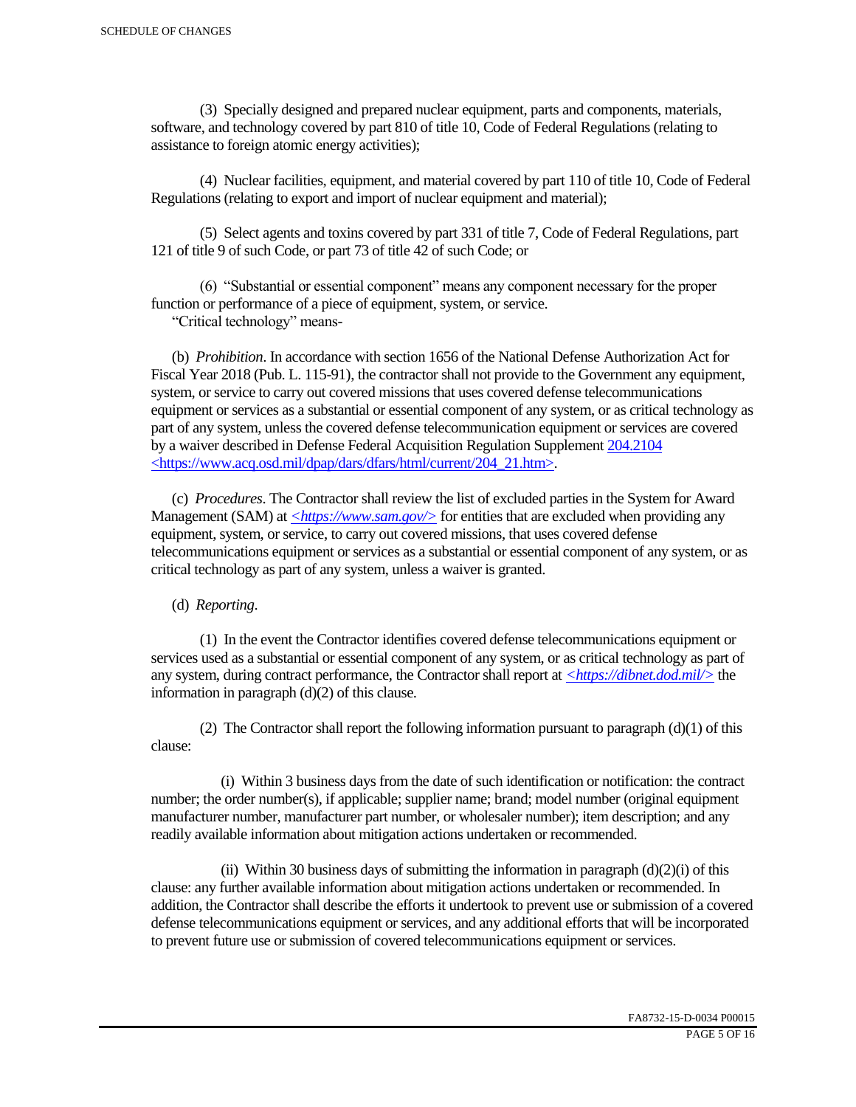(3) Specially designed and prepared nuclear equipment, parts and components, materials, software, and technology covered by part 810 of title 10, Code of Federal Regulations (relating to assistance to foreign atomic energy activities);

 (4) Nuclear facilities, equipment, and material covered by part 110 of title 10, Code of Federal Regulations (relating to export and import of nuclear equipment and material);

 (5) Select agents and toxins covered by part 331 of title 7, Code of Federal Regulations, part 121 of title 9 of such Code, or part 73 of title 42 of such Code; or

 (6) "Substantial or essential component" means any component necessary for the proper function or performance of a piece of equipment, system, or service.

"Critical technology" means-

 (b) *Prohibition*. In accordance with section 1656 of the National Defense Authorization Act for Fiscal Year 2018 (Pub. L. 115-91), the contractor shall not provide to the Government any equipment, system, or service to carry out covered missions that uses covered defense telecommunications equipment or services as a substantial or essential component of any system, or as critical technology as part of any system, unless the covered defense telecommunication equipment or services are covered by a waiver described in Defense Federal Acquisition Regulation Supplement 204.2104 <https://www.acq.osd.mil/dpap/dars/dfars/html/current/204\_21.htm>.

 (c) *Procedures*. The Contractor shall review the list of excluded parties in the System for Award Management (SAM) at  $\langle \frac{https://www.sam.gov/}{>}$  for entities that are excluded when providing any equipment, system, or service, to carry out covered missions, that uses covered defense telecommunications equipment or services as a substantial or essential component of any system, or as critical technology as part of any system, unless a waiver is granted.

(d) *Reporting*.

 (1) In the event the Contractor identifies covered defense telecommunications equipment or services used as a substantial or essential component of any system, or as critical technology as part of any system, during contract performance, the Contractor shall report at *<https://dibnet.dod.mil/>* the information in paragraph (d)(2) of this clause.

(2) The Contractor shall report the following information pursuant to paragraph  $(d)(1)$  of this clause:

 (i) Within 3 business days from the date of such identification or notification: the contract number; the order number(s), if applicable; supplier name; brand; model number (original equipment manufacturer number, manufacturer part number, or wholesaler number); item description; and any readily available information about mitigation actions undertaken or recommended.

(ii) Within 30 business days of submitting the information in paragraph  $(d)(2)(i)$  of this clause: any further available information about mitigation actions undertaken or recommended. In addition, the Contractor shall describe the efforts it undertook to prevent use or submission of a covered defense telecommunications equipment or services, and any additional efforts that will be incorporated to prevent future use or submission of covered telecommunications equipment or services.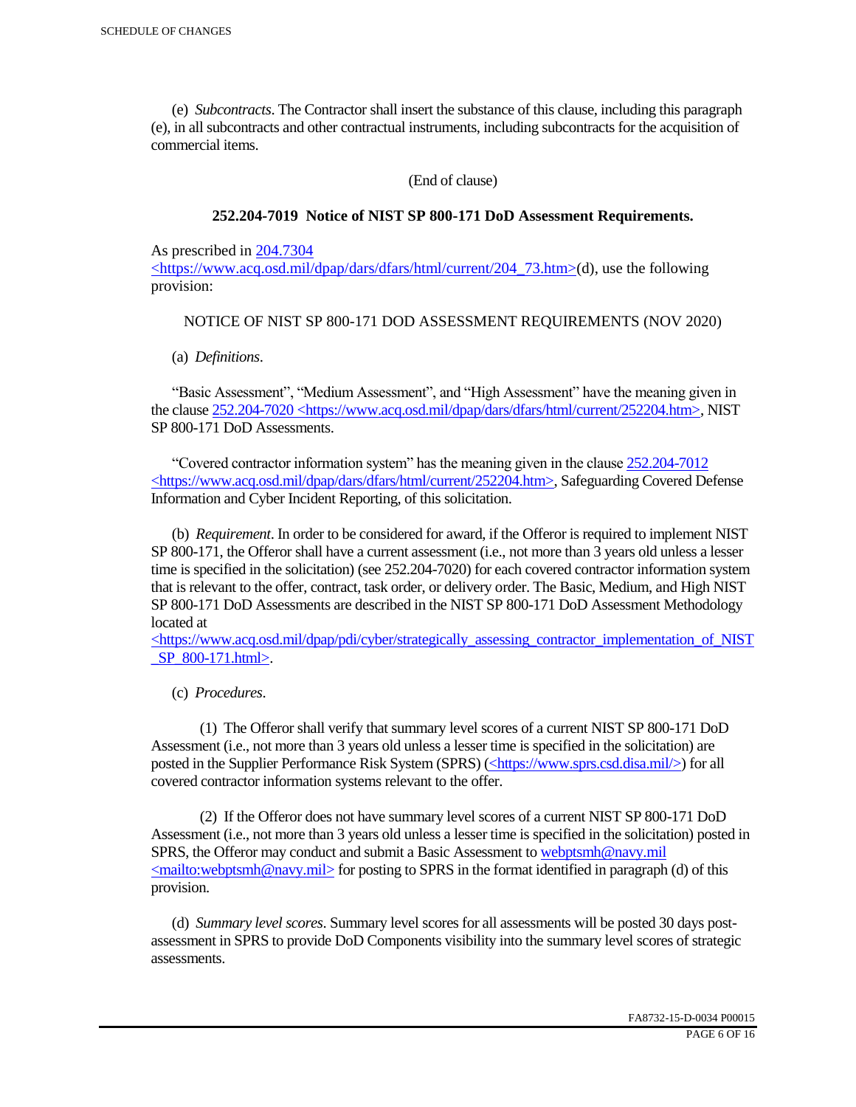(e) *Subcontracts*. The Contractor shall insert the substance of this clause, including this paragraph (e), in all subcontracts and other contractual instruments, including subcontracts for the acquisition of commercial items.

(End of clause)

### **252.204-7019 Notice of NIST SP 800-171 DoD Assessment Requirements.**

As prescribed in 204.7304

 $\langle$ https://www.acq.osd.mil/dpap/dars/dfars/html/current/204 73.htm>(d), use the following provision:

## NOTICE OF NIST SP 800-171 DOD ASSESSMENT REQUIREMENTS (NOV 2020)

(a) *Definitions*.

 "Basic Assessment", "Medium Assessment", and "High Assessment" have the meaning given in the clause 252.204-7020 <https://www.acq.osd.mil/dpap/dars/dfars/html/current/252204.htm>, NIST SP 800-171 DoD Assessments.

 "Covered contractor information system" has the meaning given in the clause 252.204-7012 <https://www.acq.osd.mil/dpap/dars/dfars/html/current/252204.htm>, Safeguarding Covered Defense Information and Cyber Incident Reporting, of this solicitation.

 (b) *Requirement*. In order to be considered for award, if the Offeror is required to implement NIST SP 800-171, the Offeror shall have a current assessment (i.e., not more than 3 years old unless a lesser time is specified in the solicitation) (see 252.204-7020) for each covered contractor information system that is relevant to the offer, contract, task order, or delivery order. The Basic, Medium, and High NIST SP 800-171 DoD Assessments are described in the NIST SP 800-171 DoD Assessment Methodology located at

 $\langle$ https://www.acq.osd.mil/dpap/pdi/cyber/strategically\_assessing\_contractor\_implementation\_of\_NIST \_SP\_800-171.html>.

(c) *Procedures*.

 (1) The Offeror shall verify that summary level scores of a current NIST SP 800-171 DoD Assessment (i.e., not more than 3 years old unless a lesser time is specified in the solicitation) are posted in the Supplier Performance Risk System (SPRS) (<https://www.sprs.csd.disa.mil/>) for all covered contractor information systems relevant to the offer.

 (2) If the Offeror does not have summary level scores of a current NIST SP 800-171 DoD Assessment (i.e., not more than 3 years old unless a lesser time is specified in the solicitation) posted in SPRS, the Offeror may conduct and submit a Basic Assessment to webptsmh@navy.mil  $\leq$ mailto:webptsmh@navy.mil> for posting to SPRS in the format identified in paragraph (d) of this provision.

 (d) *Summary level scores*. Summary level scores for all assessments will be posted 30 days postassessment in SPRS to provide DoD Components visibility into the summary level scores of strategic assessments.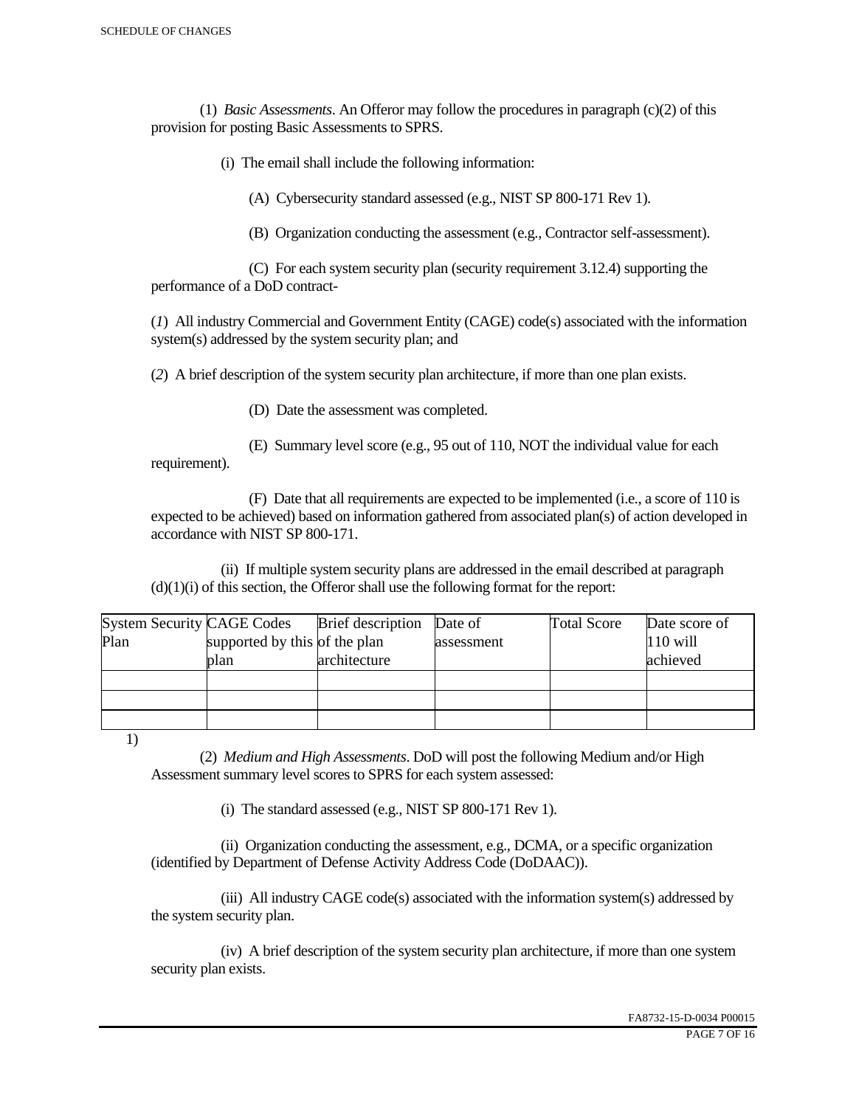(1) *Basic Assessments*. An Offeror may follow the procedures in paragraph (c)(2) of this provision for posting Basic Assessments to SPRS.

(i) The email shall include the following information:

(A) Cybersecurity standard assessed (e.g., NIST SP 800-171 Rev 1).

(B) Organization conducting the assessment (e.g., Contractor self-assessment).

 (C) For each system security plan (security requirement 3.12.4) supporting the performance of a DoD contract-

(*1*) All industry Commercial and Government Entity (CAGE) code(s) associated with the information system(s) addressed by the system security plan; and

(*2*) A brief description of the system security plan architecture, if more than one plan exists.

(D) Date the assessment was completed.

 (E) Summary level score (e.g., 95 out of 110, NOT the individual value for each requirement).

 (F) Date that all requirements are expected to be implemented (i.e., a score of 110 is expected to be achieved) based on information gathered from associated plan(s) of action developed in accordance with NIST SP 800-171.

 (ii) If multiple system security plans are addressed in the email described at paragraph  $(d)(1)(i)$  of this section, the Offeror shall use the following format for the report:

| <b>System Security CAGE Codes</b> |                               | <b>Brief</b> description | Date of    | <b>Total Score</b> | Date score of |
|-----------------------------------|-------------------------------|--------------------------|------------|--------------------|---------------|
| Plan                              | supported by this of the plan |                          | assessment |                    | $110$ will    |
|                                   | plan                          | architecture             |            |                    | achieved      |
|                                   |                               |                          |            |                    |               |
|                                   |                               |                          |            |                    |               |
|                                   |                               |                          |            |                    |               |

1)

 (2) *Medium and High Assessments*. DoD will post the following Medium and/or High Assessment summary level scores to SPRS for each system assessed:

(i) The standard assessed (e.g., NIST SP 800-171 Rev 1).

 (ii) Organization conducting the assessment, e.g., DCMA, or a specific organization (identified by Department of Defense Activity Address Code (DoDAAC)).

 (iii) All industry CAGE code(s) associated with the information system(s) addressed by the system security plan.

 (iv) A brief description of the system security plan architecture, if more than one system security plan exists.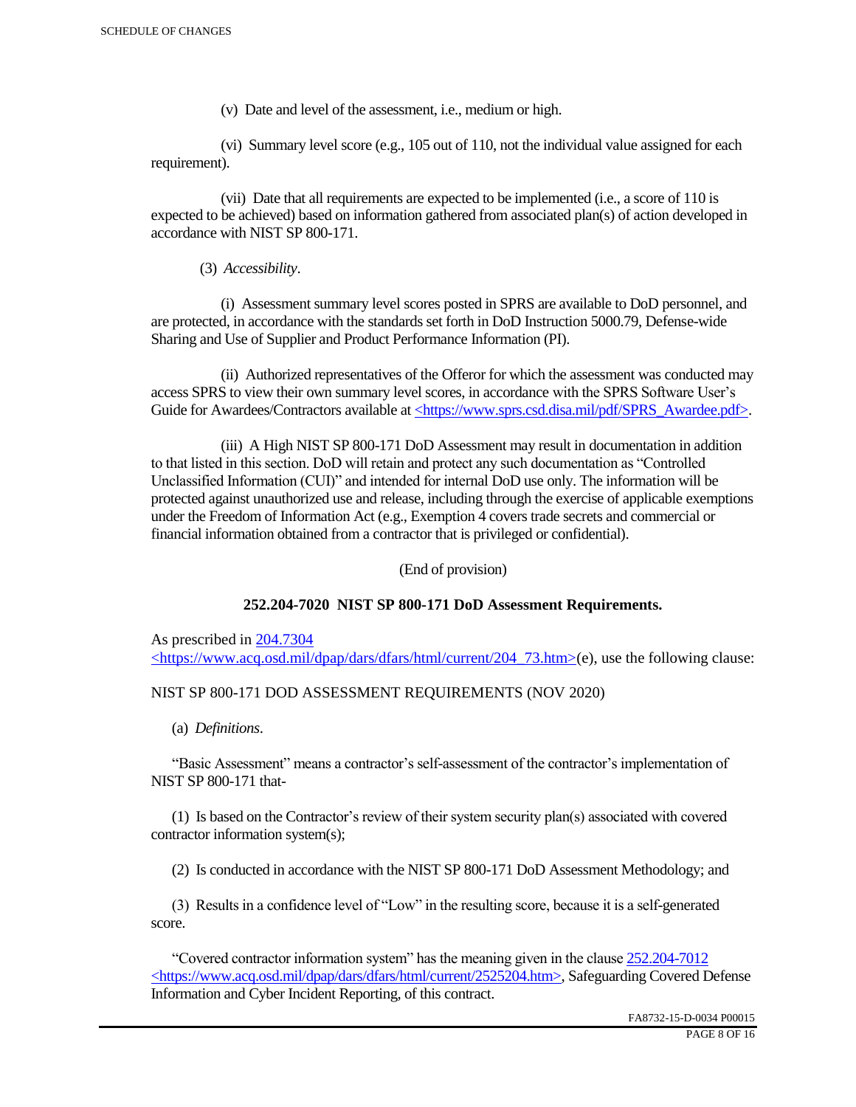(v) Date and level of the assessment, i.e., medium or high.

 (vi) Summary level score (e.g., 105 out of 110, not the individual value assigned for each requirement).

 (vii) Date that all requirements are expected to be implemented (i.e., a score of 110 is expected to be achieved) based on information gathered from associated plan(s) of action developed in accordance with NIST SP 800-171.

(3) *Accessibility*.

 (i) Assessment summary level scores posted in SPRS are available to DoD personnel, and are protected, in accordance with the standards set forth in DoD Instruction 5000.79, Defense-wide Sharing and Use of Supplier and Product Performance Information (PI).

 (ii) Authorized representatives of the Offeror for which the assessment was conducted may access SPRS to view their own summary level scores, in accordance with the SPRS Software User's Guide for Awardees/Contractors available at <https://www.sprs.csd.disa.mil/pdf/SPRS\_Awardee.pdf>.

 (iii) A High NIST SP 800-171 DoD Assessment may result in documentation in addition to that listed in this section. DoD will retain and protect any such documentation as "Controlled Unclassified Information (CUI)" and intended for internal DoD use only. The information will be protected against unauthorized use and release, including through the exercise of applicable exemptions under the Freedom of Information Act (e.g., Exemption 4 covers trade secrets and commercial or financial information obtained from a contractor that is privileged or confidential).

(End of provision)

## **252.204-7020 NIST SP 800-171 DoD Assessment Requirements.**

As prescribed in 204.7304 <https://www.acq.osd.mil/dpap/dars/dfars/html/current/204\_73.htm>(e), use the following clause:

## NIST SP 800-171 DOD ASSESSMENT REQUIREMENTS (NOV 2020)

(a) *Definitions*.

 "Basic Assessment" means a contractor's self-assessment of the contractor's implementation of NIST SP 800-171 that-

 (1) Is based on the Contractor's review of their system security plan(s) associated with covered contractor information system(s);

(2) Is conducted in accordance with the NIST SP 800-171 DoD Assessment Methodology; and

 (3) Results in a confidence level of "Low" in the resulting score, because it is a self-generated score.

 "Covered contractor information system" has the meaning given in the clause 252.204-7012 <https://www.acq.osd.mil/dpap/dars/dfars/html/current/2525204.htm>, Safeguarding Covered Defense Information and Cyber Incident Reporting, of this contract.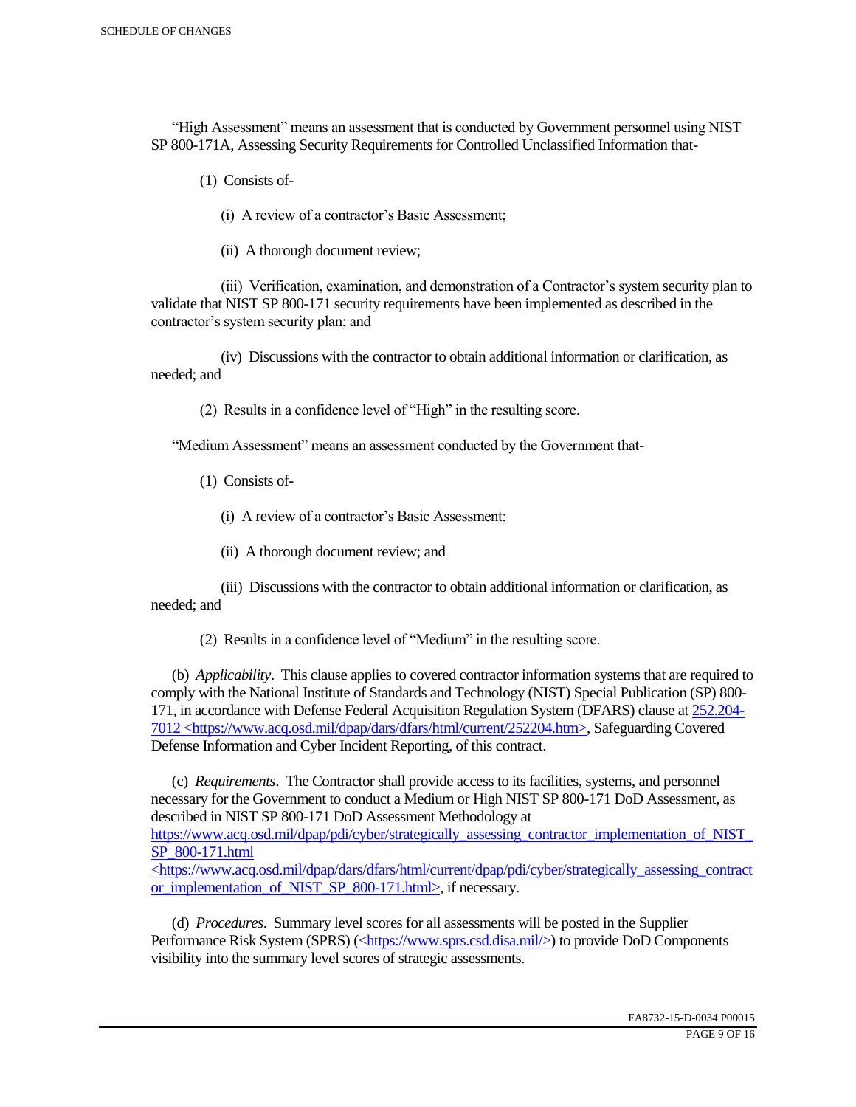"High Assessment" means an assessment that is conducted by Government personnel using NIST SP 800-171A, Assessing Security Requirements for Controlled Unclassified Information that-

(1) Consists of-

(i) A review of a contractor's Basic Assessment;

(ii) A thorough document review;

 (iii) Verification, examination, and demonstration of a Contractor's system security plan to validate that NIST SP 800-171 security requirements have been implemented as described in the contractor's system security plan; and

 (iv) Discussions with the contractor to obtain additional information or clarification, as needed; and

(2) Results in a confidence level of "High" in the resulting score.

"Medium Assessment" means an assessment conducted by the Government that-

(1) Consists of-

(i) A review of a contractor's Basic Assessment;

(ii) A thorough document review; and

 (iii) Discussions with the contractor to obtain additional information or clarification, as needed; and

(2) Results in a confidence level of "Medium" in the resulting score.

 (b) *Applicability*. This clause applies to covered contractor information systems that are required to comply with the National Institute of Standards and Technology (NIST) Special Publication (SP) 800- 171, in accordance with Defense Federal Acquisition Regulation System (DFARS) clause at 252.204- 7012 <https://www.acq.osd.mil/dpap/dars/dfars/html/current/252204.htm>, Safeguarding Covered Defense Information and Cyber Incident Reporting, of this contract.

 (c) *Requirements*. The Contractor shall provide access to its facilities, systems, and personnel necessary for the Government to conduct a Medium or High NIST SP 800-171 DoD Assessment, as described in NIST SP 800-171 DoD Assessment Methodology at https://www.acq.osd.mil/dpap/pdi/cyber/strategically\_assessing\_contractor\_implementation\_of\_NIST\_ SP\_800-171.html <https://www.acq.osd.mil/dpap/dars/dfars/html/current/dpap/pdi/cyber/strategically\_assessing\_contract

or implementation of NIST SP 800-171.html>, if necessary.

 (d) *Procedures*. Summary level scores for all assessments will be posted in the Supplier Performance Risk System (SPRS) (<https://www.sprs.csd.disa.mil/>) to provide DoD Components visibility into the summary level scores of strategic assessments.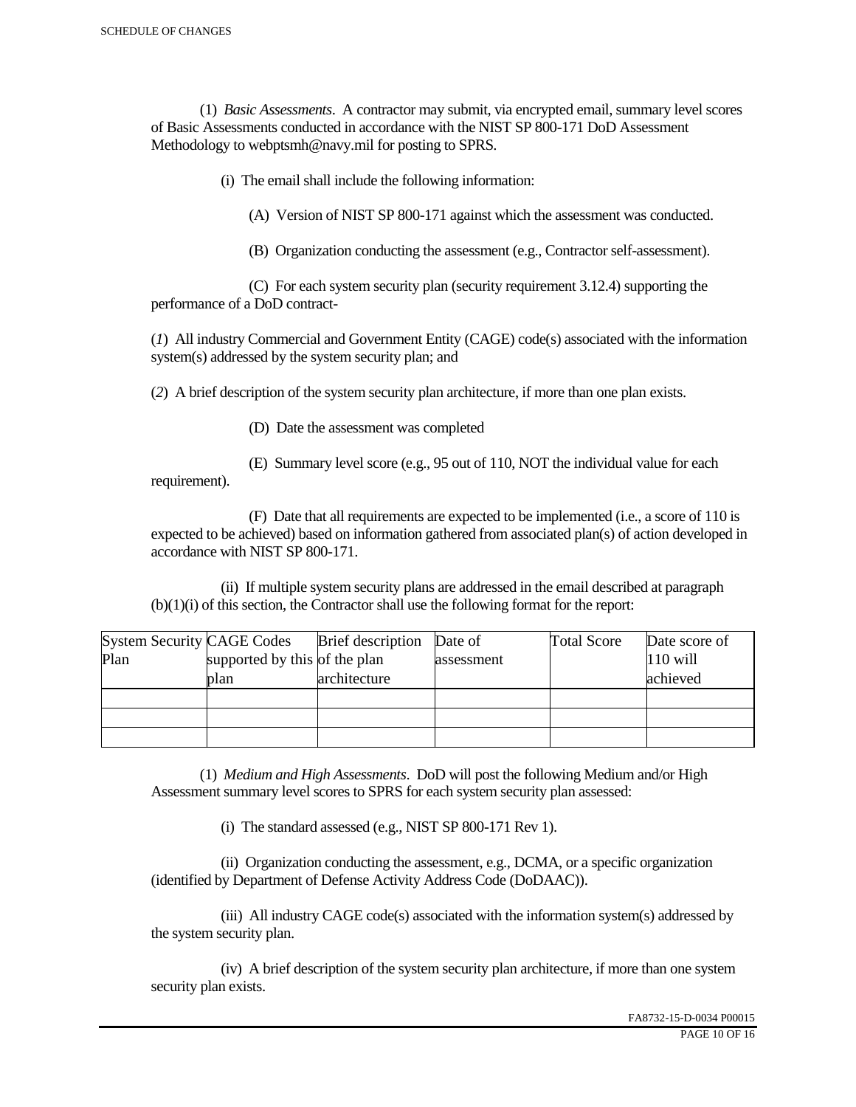(1) *Basic Assessments*. A contractor may submit, via encrypted email, summary level scores of Basic Assessments conducted in accordance with the NIST SP 800-171 DoD Assessment Methodology to webptsmh@navy.mil for posting to SPRS.

(i) The email shall include the following information:

(A) Version of NIST SP 800-171 against which the assessment was conducted.

(B) Organization conducting the assessment (e.g., Contractor self-assessment).

 (C) For each system security plan (security requirement 3.12.4) supporting the performance of a DoD contract-

(*1*) All industry Commercial and Government Entity (CAGE) code(s) associated with the information system(s) addressed by the system security plan; and

(*2*) A brief description of the system security plan architecture, if more than one plan exists.

(D) Date the assessment was completed

requirement).

(E) Summary level score (e.g., 95 out of 110, NOT the individual value for each

 (F) Date that all requirements are expected to be implemented (i.e., a score of 110 is expected to be achieved) based on information gathered from associated plan(s) of action developed in accordance with NIST SP 800-171.

 (ii) If multiple system security plans are addressed in the email described at paragraph (b)(1)(i) of this section, the Contractor shall use the following format for the report:

| <b>System Security CAGE Codes</b> |                               | <b>Brief</b> description | Date of    | <b>Total Score</b> | Date score of |
|-----------------------------------|-------------------------------|--------------------------|------------|--------------------|---------------|
| Plan                              | supported by this of the plan |                          | assessment |                    | $110$ will    |
|                                   | plan                          | architecture             |            |                    | achieved      |
|                                   |                               |                          |            |                    |               |
|                                   |                               |                          |            |                    |               |
|                                   |                               |                          |            |                    |               |

 (1) *Medium and High Assessments*. DoD will post the following Medium and/or High Assessment summary level scores to SPRS for each system security plan assessed:

(i) The standard assessed (e.g., NIST SP 800-171 Rev 1).

 (ii) Organization conducting the assessment, e.g., DCMA, or a specific organization (identified by Department of Defense Activity Address Code (DoDAAC)).

 (iii) All industry CAGE code(s) associated with the information system(s) addressed by the system security plan.

 (iv) A brief description of the system security plan architecture, if more than one system security plan exists.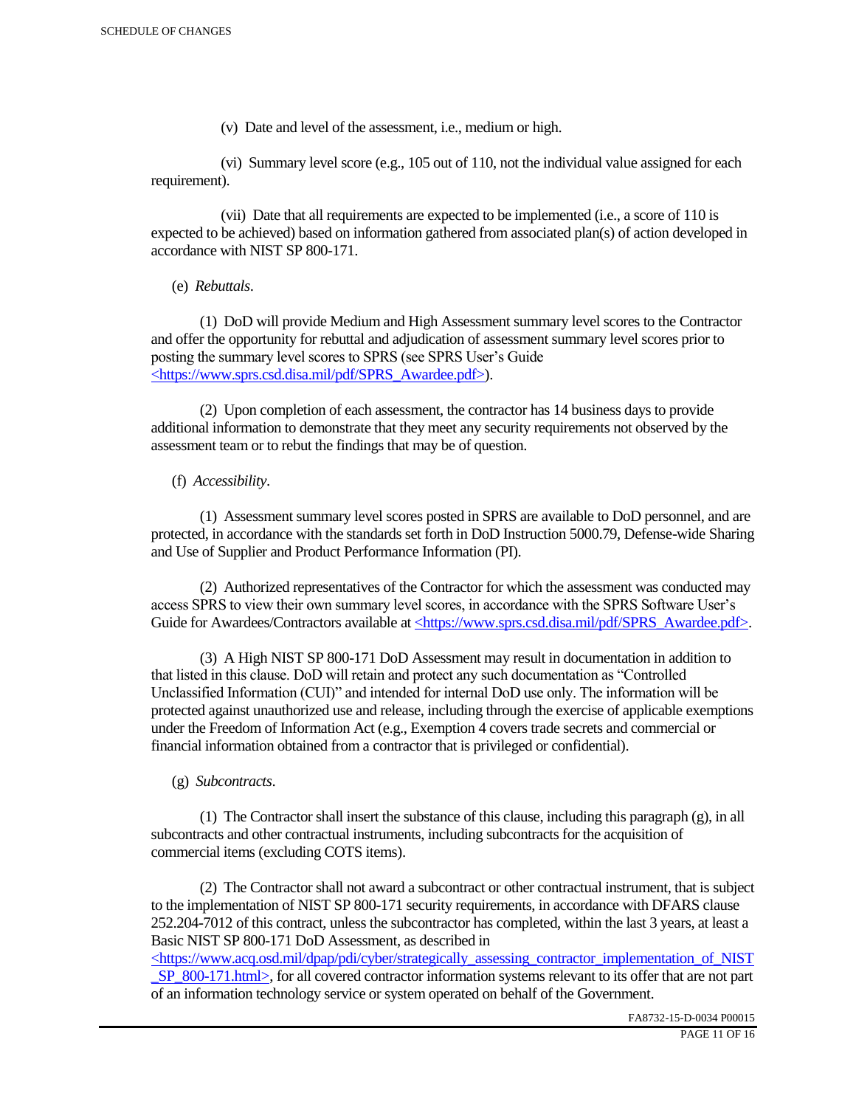(v) Date and level of the assessment, i.e., medium or high.

 (vi) Summary level score (e.g., 105 out of 110, not the individual value assigned for each requirement).

 (vii) Date that all requirements are expected to be implemented (i.e., a score of 110 is expected to be achieved) based on information gathered from associated plan(s) of action developed in accordance with NIST SP 800-171.

(e) *Rebuttals*.

 (1) DoD will provide Medium and High Assessment summary level scores to the Contractor and offer the opportunity for rebuttal and adjudication of assessment summary level scores prior to posting the summary level scores to SPRS (see SPRS User's Guide <https://www.sprs.csd.disa.mil/pdf/SPRS\_Awardee.pdf>).

 (2) Upon completion of each assessment, the contractor has 14 business days to provide additional information to demonstrate that they meet any security requirements not observed by the assessment team or to rebut the findings that may be of question.

## (f) *Accessibility*.

 (1) Assessment summary level scores posted in SPRS are available to DoD personnel, and are protected, in accordance with the standards set forth in DoD Instruction 5000.79, Defense-wide Sharing and Use of Supplier and Product Performance Information (PI).

 (2) Authorized representatives of the Contractor for which the assessment was conducted may access SPRS to view their own summary level scores, in accordance with the SPRS Software User's Guide for Awardees/Contractors available at <https://www.sprs.csd.disa.mil/pdf/SPRS\_Awardee.pdf>.

 (3) A High NIST SP 800-171 DoD Assessment may result in documentation in addition to that listed in this clause. DoD will retain and protect any such documentation as "Controlled Unclassified Information (CUI)" and intended for internal DoD use only. The information will be protected against unauthorized use and release, including through the exercise of applicable exemptions under the Freedom of Information Act (e.g., Exemption 4 covers trade secrets and commercial or financial information obtained from a contractor that is privileged or confidential).

## (g) *Subcontracts*.

(1) The Contractor shall insert the substance of this clause, including this paragraph  $(g)$ , in all subcontracts and other contractual instruments, including subcontracts for the acquisition of commercial items (excluding COTS items).

 (2) The Contractor shall not award a subcontract or other contractual instrument, that is subject to the implementation of NIST SP 800-171 security requirements, in accordance with DFARS clause 252.204-7012 of this contract, unless the subcontractor has completed, within the last 3 years, at least a Basic NIST SP 800-171 DoD Assessment, as described in

 $\langle$ https://www.acq.osd.mil/dpap/pdi/cyber/strategically\_assessing\_contractor\_implementation\_of\_NIST SP\_800-171.html>, for all covered contractor information systems relevant to its offer that are not part of an information technology service or system operated on behalf of the Government.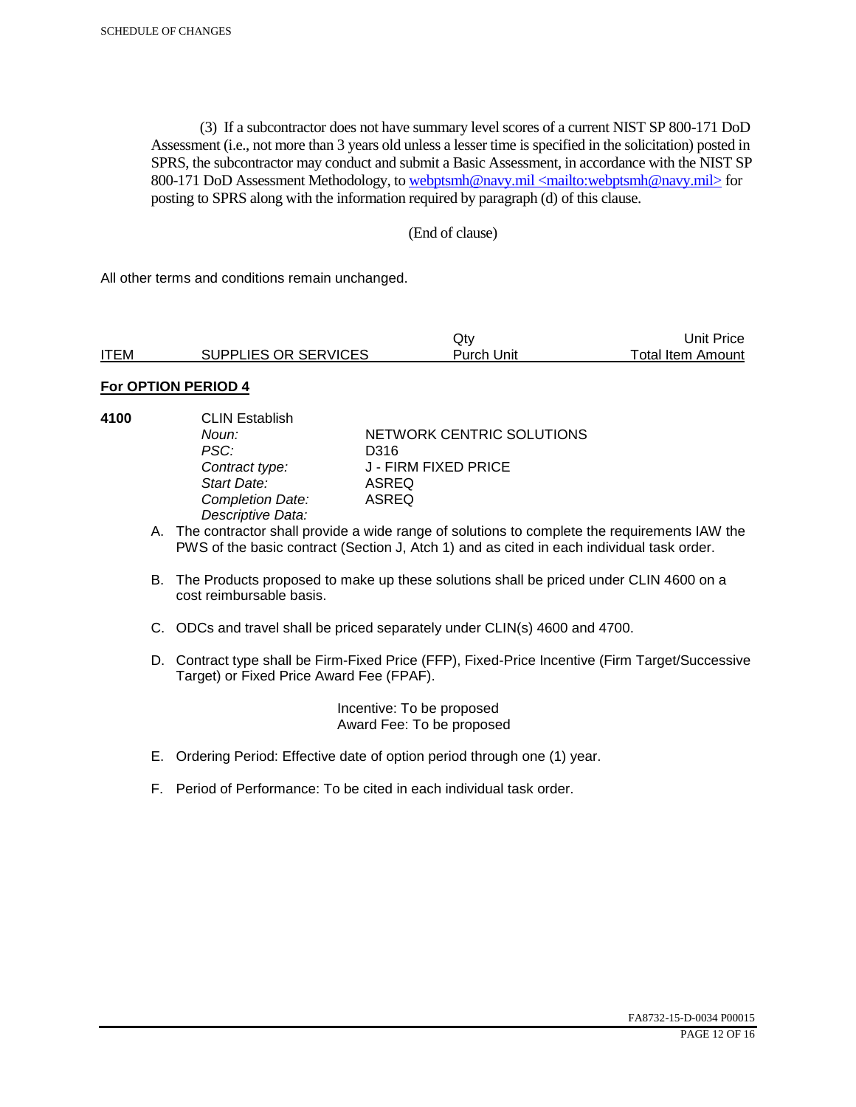(3) If a subcontractor does not have summary level scores of a current NIST SP 800-171 DoD Assessment (i.e., not more than 3 years old unless a lesser time is specified in the solicitation) posted in SPRS, the subcontractor may conduct and submit a Basic Assessment, in accordance with the NIST SP 800-171 DoD Assessment Methodology, to webptsmh@navy.mil <mailto:webptsmh@navy.mil> for posting to SPRS along with the information required by paragraph (d) of this clause.

### (End of clause)

All other terms and conditions remain unchanged.

|             |                      | Jtv.       | Unit Price l      |
|-------------|----------------------|------------|-------------------|
| <b>ITEM</b> | SUPPLIES OR SERVICES | Purch Unit | Total Item Amount |

## **For OPTION PERIOD 4**

- 
- **4100** CLIN Establish PSC: D316<br>Contract type: J - FII *Start Date:* ASREQ **Completion Date:** *Descriptive Data:*

**Noun: NETWORK CENTRIC SOLUTIONS** *Contract type:* J - FIRM FIXED PRICE

- A. The contractor shall provide a wide range of solutions to complete the requirements IAW the PWS of the basic contract (Section J, Atch 1) and as cited in each individual task order.
- B. The Products proposed to make up these solutions shall be priced under CLIN 4600 on a cost reimbursable basis.
- C. ODCs and travel shall be priced separately under CLIN(s) 4600 and 4700.
- D. Contract type shall be Firm-Fixed Price (FFP), Fixed-Price Incentive (Firm Target/Successive Target) or Fixed Price Award Fee (FPAF).

 Incentive: To be proposed Award Fee: To be proposed

- E. Ordering Period: Effective date of option period through one (1) year.
- F. Period of Performance: To be cited in each individual task order.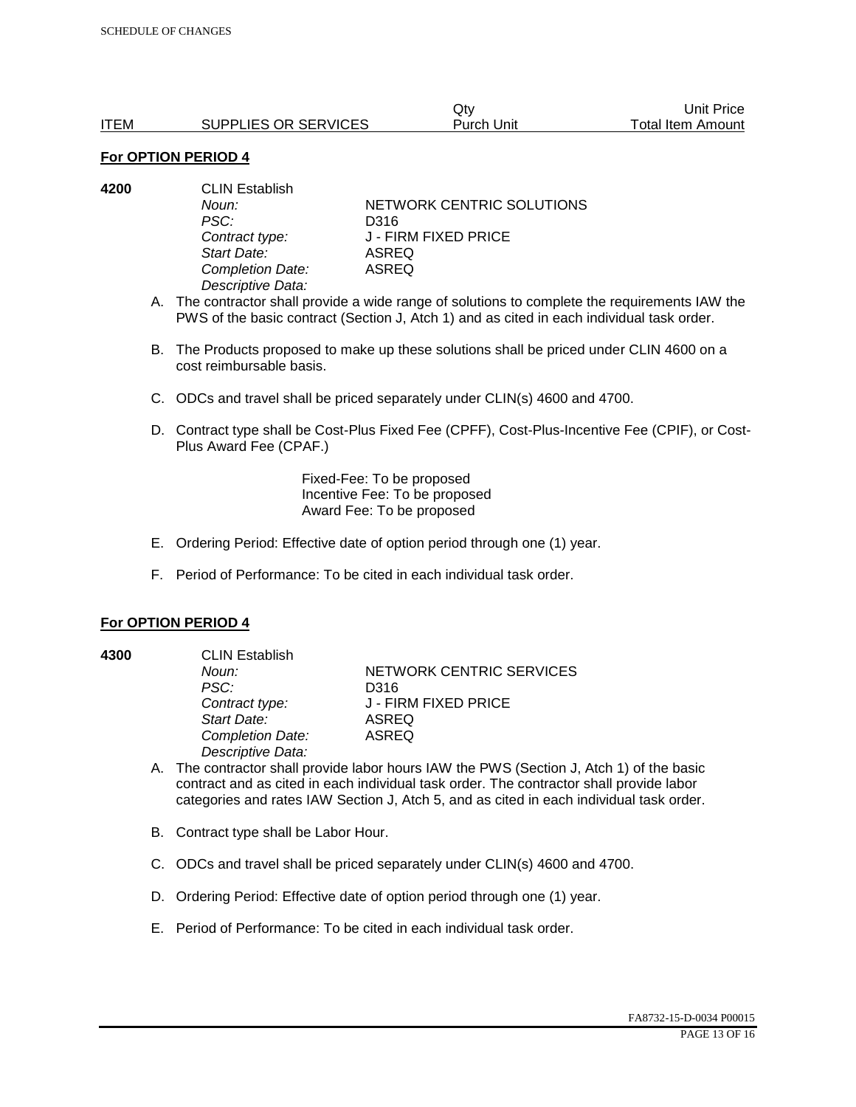|             |                      | Qtv        | Unit Price        |
|-------------|----------------------|------------|-------------------|
| <b>ITEM</b> | SUPPLIES OR SERVICES | Purch Unit | Total Item Amount |

| 4200 | <b>CLIN Establish</b> |                           |  |
|------|-----------------------|---------------------------|--|
|      | Noun:                 | NETWORK CENTRIC SOLUTIONS |  |
|      | PSC:                  | D316                      |  |
|      | Contract type:        | J - FIRM FIXED PRICE      |  |
|      | Start Date:           | ASREQ                     |  |
|      | Completion Date:      | ASREQ                     |  |
|      | Descriptive Data:     |                           |  |
|      |                       |                           |  |

- A. The contractor shall provide a wide range of solutions to complete the requirements IAW the PWS of the basic contract (Section J, Atch 1) and as cited in each individual task order.
- B. The Products proposed to make up these solutions shall be priced under CLIN 4600 on a cost reimbursable basis.
- C. ODCs and travel shall be priced separately under CLIN(s) 4600 and 4700.
- D. Contract type shall be Cost-Plus Fixed Fee (CPFF), Cost-Plus-Incentive Fee (CPIF), or Cost-Plus Award Fee (CPAF.)

Fixed-Fee: To be proposed Incentive Fee: To be proposed Award Fee: To be proposed

- E. Ordering Period: Effective date of option period through one (1) year.
- F. Period of Performance: To be cited in each individual task order.

#### **For OPTION PERIOD 4**

**4300** CLIN Establish *PSC:* D316 *Start Date:* ASREQ *Completion Date:* ASREQ *Descriptive Data:* 

**Noun: NETWORK CENTRIC SERVICES** *Contract type:* J - FIRM FIXED PRICE

- A. The contractor shall provide labor hours IAW the PWS (Section J, Atch 1) of the basic contract and as cited in each individual task order. The contractor shall provide labor categories and rates IAW Section J, Atch 5, and as cited in each individual task order.
- B. Contract type shall be Labor Hour.
- C. ODCs and travel shall be priced separately under CLIN(s) 4600 and 4700.
- D. Ordering Period: Effective date of option period through one (1) year.
- E. Period of Performance: To be cited in each individual task order.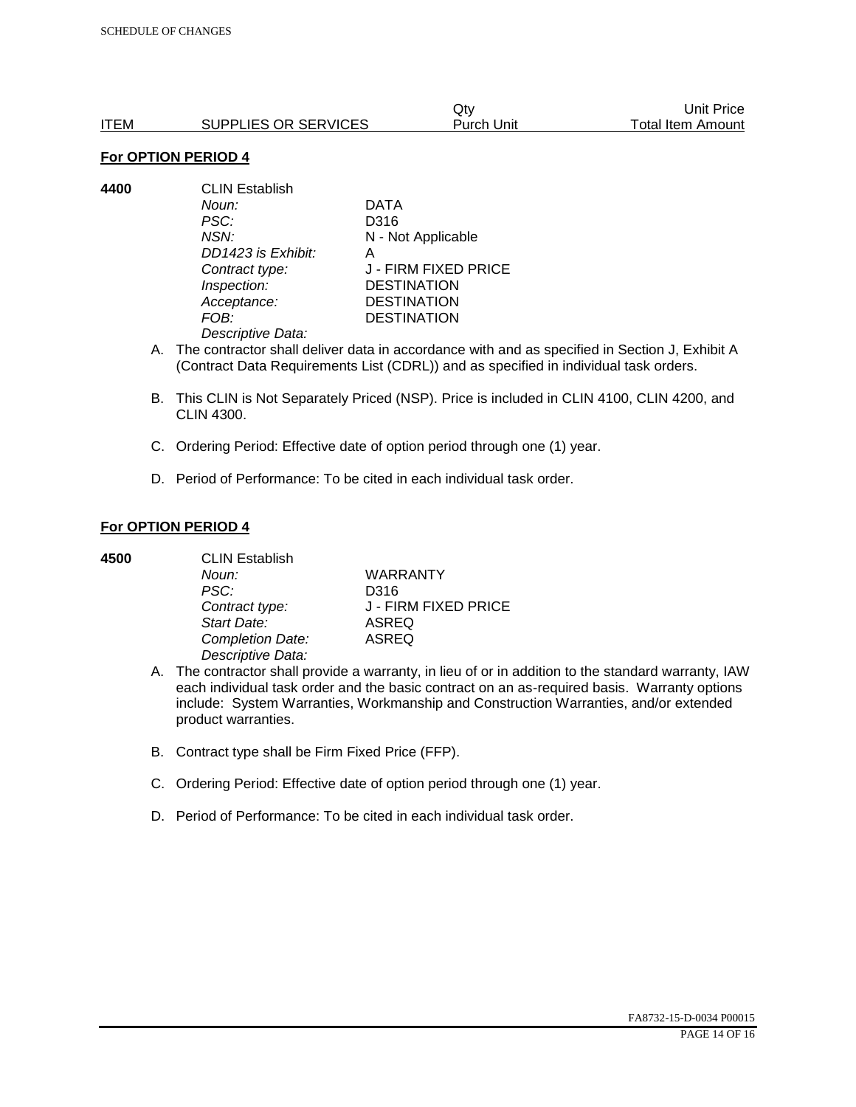|      |                      | Qtv        | Unit Price        |
|------|----------------------|------------|-------------------|
| ITEM | SUPPLIES OR SERVICES | Purch Unit | Total Item Amount |

**4400** CLIN Establish *Noun:* DATA *PSC:* D316 *NSN:* N - Not Applicable *DD1423 is Exhibit:* A *Contract type:* J - FIRM FIXED PRICE *Inspection:* DESTINATION *Acceptance:* DESTINATION *FOB:* DESTINATION *Descriptive Data:* 

- A. The contractor shall deliver data in accordance with and as specified in Section J, Exhibit A (Contract Data Requirements List (CDRL)) and as specified in individual task orders.
- B. This CLIN is Not Separately Priced (NSP). Price is included in CLIN 4100, CLIN 4200, and CLIN 4300.
- C. Ordering Period: Effective date of option period through one (1) year.
- D. Period of Performance: To be cited in each individual task order.

### **For OPTION PERIOD 4**

| 4500 | <b>CLIN Establish</b> |                      |  |
|------|-----------------------|----------------------|--|
|      | Noun:                 | <b>WARRANTY</b>      |  |
|      | PSC:                  | D316                 |  |
|      | Contract type:        | J - FIRM FIXED PRICE |  |
|      | Start Date:           | <b>ASREQ</b>         |  |
|      | Completion Date:      | <b>ASREQ</b>         |  |
|      | Descriptive Data:     |                      |  |

- A. The contractor shall provide a warranty, in lieu of or in addition to the standard warranty, IAW each individual task order and the basic contract on an as-required basis. Warranty options include: System Warranties, Workmanship and Construction Warranties, and/or extended product warranties.
- B. Contract type shall be Firm Fixed Price (FFP).
- C. Ordering Period: Effective date of option period through one (1) year.
- D. Period of Performance: To be cited in each individual task order.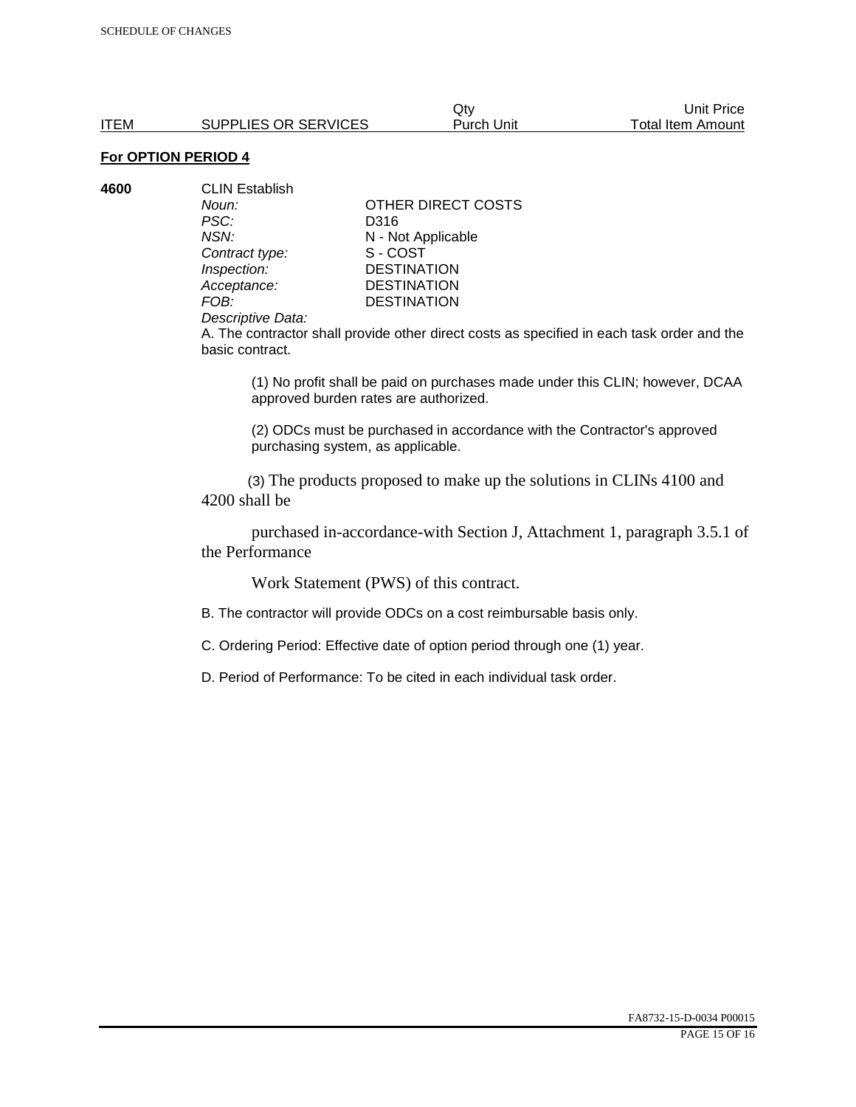| 4600 | <b>CLIN Establish</b> |                    |
|------|-----------------------|--------------------|
|      | Noun:                 | OTHER DIRECT COSTS |
|      | PSC:                  | D316               |
|      | NSN:                  | N - Not Applicable |
|      | Contract type:        | S-COST             |
|      | Inspection:           | <b>DESTINATION</b> |
|      | Acceptance:           | <b>DESTINATION</b> |
|      | FOB:                  | <b>DESTINATION</b> |
|      | ________              |                    |

#### *Descriptive Data:*

A. The contractor shall provide other direct costs as specified in each task order and the basic contract.

(1) No profit shall be paid on purchases made under this CLIN; however, DCAA approved burden rates are authorized.

(2) ODCs must be purchased in accordance with the Contractor's approved purchasing system, as applicable.

 (3) The products proposed to make up the solutions in CLINs 4100 and 4200 shall be

 purchased in-accordance-with Section J, Attachment 1, paragraph 3.5.1 of the Performance

Work Statement (PWS) of this contract.

B. The contractor will provide ODCs on a cost reimbursable basis only.

C. Ordering Period: Effective date of option period through one (1) year.

D. Period of Performance: To be cited in each individual task order.